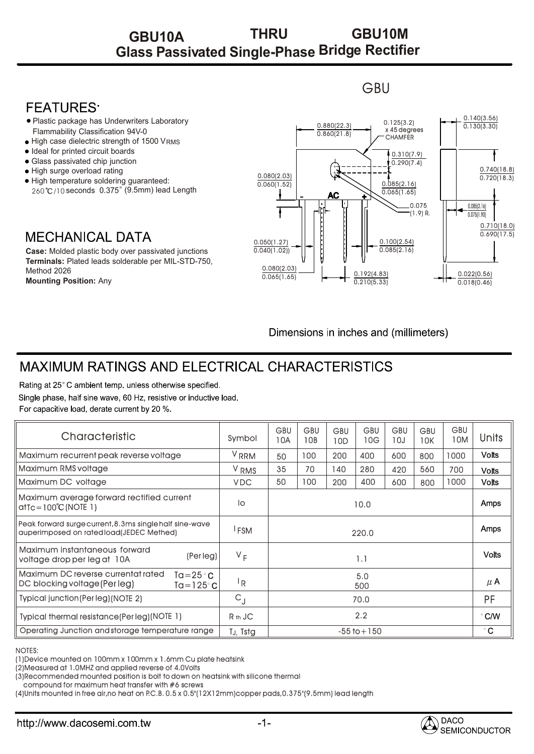## **Glass Passivated Single-Phase Bridge Rectifier GBU10A THRU GBU10M**

#### **GBU**

### **FFATURFS**

- Plastic package has Underwriters Laboratory Flammability Classification 94V-0
- High case dielectric strength of 1500 VRMS •
- Ideal for printed circuit boards •
- Glass passivated chip junction •
- High surge overload rating •
- High temperature soldering guaranteed: 260°C/10 seconds 0.375" (9.5mm) lead Length

## **MECHANICAL DATA**

**Case:** Molded plastic body over passivated junctions **Terminals:** Plated leads solderable per MIL-STD-750, Method 2026 **Mounting Position:** Any



Dimensions in inches and (millimeters)

# MAXIMUM RATINGS AND ELECTRICAL CHARACTERISTICS

Rating at 25°C ambient temp. unless otherwise specified. Single phase, half sine wave, 60 Hz, resistive or inductive load. For capacitive load, derate current by 20 %.

| Characteristic                                                                                                                                                                                                                   | Symbol           | <b>GBU</b><br>10A | <b>GBU</b><br>10B | <b>GBU</b><br>10D | <b>GBU</b><br>10G | GBU<br>10J | <b>GBU</b><br>10K | <b>GBU</b><br>10M | <b>Units</b>  |
|----------------------------------------------------------------------------------------------------------------------------------------------------------------------------------------------------------------------------------|------------------|-------------------|-------------------|-------------------|-------------------|------------|-------------------|-------------------|---------------|
| Maximum recurrent peak reverse voltage                                                                                                                                                                                           | V <sub>RRM</sub> | 50                | 100               | 200               | 400               | 600        | 800               | 1000              | <b>Volts</b>  |
| Maximum RMS voltage                                                                                                                                                                                                              | V <sub>RMS</sub> | 35                | 70                | 140               | 280               | 420        | 560               | 700               | <b>Volts</b>  |
| Maximum DC voltage                                                                                                                                                                                                               | <b>VDC</b>       | 50                | 100               | 200               | 400               | 600        | 800               | 1000              | <b>Volts</b>  |
| Maximum average forward rectified current<br>$at$ Tc=100 $^{\circ}$ C(NOTE 1)                                                                                                                                                    | lo               | 10.0              |                   |                   |                   |            |                   |                   | Amps          |
| Peak forward surge current, 8.3ms single half sine-wave<br>auperImposed on ratedload(JEDEC Methed)                                                                                                                               | <sup>I</sup> FSM | 220.0             |                   |                   |                   |            |                   |                   | <b>Amps</b>   |
| Maximum instantaneous forward<br>(Per leg)<br>voltage drop per leg at 10A                                                                                                                                                        | $V_F$            | 1.1               |                   |                   |                   |            |                   |                   | <b>Volts</b>  |
| Maximum DC reverse currentat rated<br>Ta= $25^{\circ}$ C<br>DC blocking voltage (Per leg)<br>$Ta = 125^{\circ}$ C                                                                                                                | l <sub>R</sub>   | 5.0<br>500        |                   |                   |                   |            |                   |                   | $\mu$ A       |
| Typical junction (Per leg) (NOTE 2)                                                                                                                                                                                              | $C_{\rm J}$      | 70.0              |                   |                   |                   |            |                   |                   | PF            |
| Typical thermal resistance(Per leg)(NOTE 1)                                                                                                                                                                                      | $Rth$ JC         | 2.2               |                   |                   |                   |            |                   |                   | $\degree$ C/W |
| Operating Junction and storage temperature range                                                                                                                                                                                 | TJ, Tstg         | $-55$ to $+150$   |                   |                   |                   |            |                   |                   | $^{\circ}$ C  |
| <b>NOTES:</b><br>(1) Device mounted on 100mm x 100mm x 1.6mm Cu plate heatsink<br>(2) Measured at 1.0 MHZ and applied reverse of 4.0 Volts<br>(3) Recommended mounted position is bolt to down on heatsink with silicone thermal |                  |                   |                   |                   |                   |            |                   |                   |               |

#### NOTES:

compound for maximum heat transfer with #6 screws

(4)Units mounted in free air,no heat on P.C.B. 0.5 x 0.5"(12X12mm)copper pads,0.375"(9.5mm) lead length